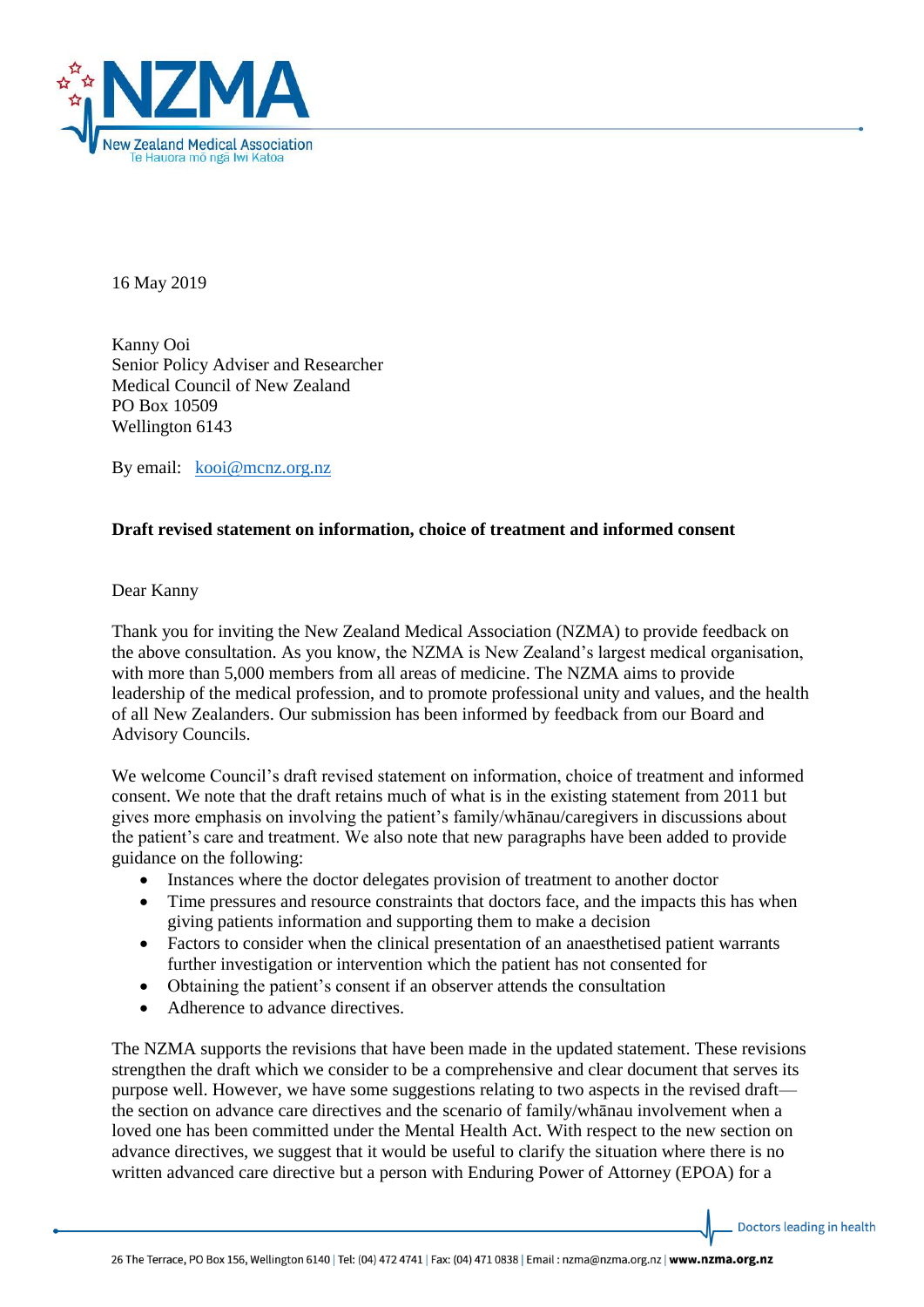

16 May 2019

Kanny Ooi Senior Policy Adviser and Researcher Medical Council of New Zealand PO Box 10509 Wellington 6143

By email: [kooi@mcnz.org.nz](mailto:kooi@mcnz.org.nz)

## **Draft revised statement on information, choice of treatment and informed consent**

## Dear Kanny

Thank you for inviting the New Zealand Medical Association (NZMA) to provide feedback on the above consultation. As you know, the NZMA is New Zealand's largest medical organisation, with more than 5,000 members from all areas of medicine. The NZMA aims to provide leadership of the medical profession, and to promote professional unity and values, and the health of all New Zealanders. Our submission has been informed by feedback from our Board and Advisory Councils.

We welcome Council's draft revised statement on information, choice of treatment and informed consent. We note that the draft retains much of what is in the existing statement from 2011 but gives more emphasis on involving the patient's family/whānau/caregivers in discussions about the patient's care and treatment. We also note that new paragraphs have been added to provide guidance on the following:

- Instances where the doctor delegates provision of treatment to another doctor
- Time pressures and resource constraints that doctors face, and the impacts this has when giving patients information and supporting them to make a decision
- Factors to consider when the clinical presentation of an anaesthetised patient warrants further investigation or intervention which the patient has not consented for
- Obtaining the patient's consent if an observer attends the consultation
- Adherence to advance directives.

The NZMA supports the revisions that have been made in the updated statement. These revisions strengthen the draft which we consider to be a comprehensive and clear document that serves its purpose well. However, we have some suggestions relating to two aspects in the revised draft the section on advance care directives and the scenario of family/whānau involvement when a loved one has been committed under the Mental Health Act. With respect to the new section on advance directives, we suggest that it would be useful to clarify the situation where there is no written advanced care directive but a person with Enduring Power of Attorney (EPOA) for a